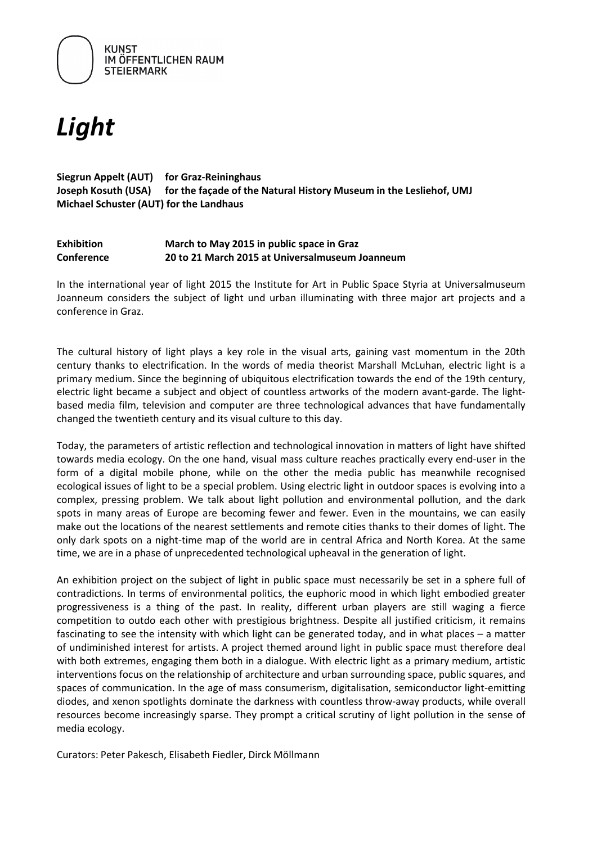

# *Light*

### **Siegrun Appelt (AUT) for Graz-Reininghaus Joseph Kosuth (USA) for the façade of the Natural History Museum in the Lesliehof, UMJ Michael Schuster (AUT) for the Landhaus**

#### **Exhibition March to May 2015 in public space in Graz Conference 20 to 21 March 2015 at Universalmuseum Joanneum**

In the international year of light 2015 the Institute for Art in Public Space Styria at Universalmuseum Joanneum considers the subject of light und urban illuminating with three major art projects and a conference in Graz.

The cultural history of light plays a key role in the visual arts, gaining vast momentum in the 20th century thanks to electrification. In the words of media theorist Marshall McLuhan, electric light is a primary medium. Since the beginning of ubiquitous electrification towards the end of the 19th century, electric light became a subject and object of countless artworks of the modern avant-garde. The lightbased media film, television and computer are three technological advances that have fundamentally changed the twentieth century and its visual culture to this day.

Today, the parameters of artistic reflection and technological innovation in matters of light have shifted towards media ecology. On the one hand, visual mass culture reaches practically every end-user in the form of a digital mobile phone, while on the other the media public has meanwhile recognised ecological issues of light to be a special problem. Using electric light in outdoor spaces is evolving into a complex, pressing problem. We talk about light pollution and environmental pollution, and the dark spots in many areas of Europe are becoming fewer and fewer. Even in the mountains, we can easily make out the locations of the nearest settlements and remote cities thanks to their domes of light. The only dark spots on a night-time map of the world are in central Africa and North Korea. At the same time, we are in a phase of unprecedented technological upheaval in the generation of light.

An exhibition project on the subject of light in public space must necessarily be set in a sphere full of contradictions. In terms of environmental politics, the euphoric mood in which light embodied greater progressiveness is a thing of the past. In reality, different urban players are still waging a fierce competition to outdo each other with prestigious brightness. Despite all justified criticism, it remains fascinating to see the intensity with which light can be generated today, and in what places – a matter of undiminished interest for artists. A project themed around light in public space must therefore deal with both extremes, engaging them both in a dialogue. With electric light as a primary medium, artistic interventions focus on the relationship of architecture and urban surrounding space, public squares, and spaces of communication. In the age of mass consumerism, digitalisation, semiconductor light-emitting diodes, and xenon spotlights dominate the darkness with countless throw-away products, while overall resources become increasingly sparse. They prompt a critical scrutiny of light pollution in the sense of media ecology.

Curators: Peter Pakesch, Elisabeth Fiedler, Dirck Möllmann